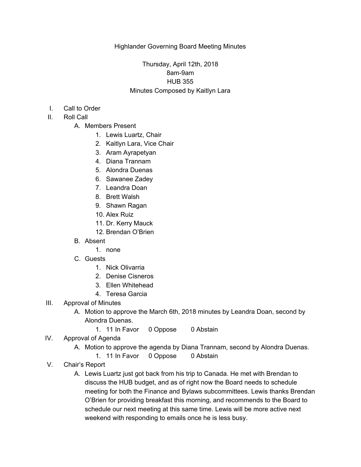## Thursday, April 12th, 2018 8am-9am HUB 355 Minutes Composed by Kaitlyn Lara

- I. Call to Order
- II. Roll Call
	- A. Members Present
		- 1. Lewis Luartz, Chair
		- 2. Kaitlyn Lara, Vice Chair
		- 3. Aram Ayrapetyan
		- 4. Diana Trannam
		- 5. Alondra Duenas
		- 6. Sawanee Zadey
		- 7. Leandra Doan
		- 8. Brett Walsh
		- 9. Shawn Ragan
		- 10. Alex Ruiz
		- 11. Dr. Kerry Mauck
		- 12. Brendan O'Brien
	- B. Absent
		- 1. none
	- C. Guests
		- 1. Nick Olivarria
		- 2. Denise Cisneros
		- 3. Ellen Whitehead
		- 4. Teresa Garcia
- III. Approval of Minutes
	- A. Motion to approve the March 6th, 2018 minutes by Leandra Doan, second by Alondra Duenas.
		- 1. 11 In Favor 0 Oppose 0 Abstain
- IV. Approval of Agenda
	- A. Motion to approve the agenda by Diana Trannam, second by Alondra Duenas.
		- 1. 11 In Favor 0 Oppose 0 Abstain
- V. Chair's Report
	- A. Lewis Luartz just got back from his trip to Canada. He met with Brendan to discuss the HUB budget, and as of right now the Board needs to schedule meeting for both the Finance and Bylaws subcommittees. Lewis thanks Brendan O'Brien for providing breakfast this morning, and recommends to the Board to schedule our next meeting at this same time. Lewis will be more active next weekend with responding to emails once he is less busy.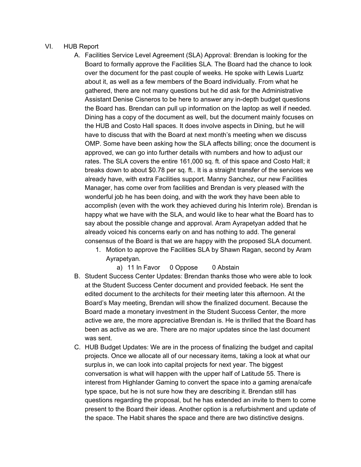## VI. HUB Report

- A. Facilities Service Level Agreement (SLA) Approval: Brendan is looking for the Board to formally approve the Facilities SLA. The Board had the chance to look over the document for the past couple of weeks. He spoke with Lewis Luartz about it, as well as a few members of the Board individually. From what he gathered, there are not many questions but he did ask for the Administrative Assistant Denise Cisneros to be here to answer any in-depth budget questions the Board has. Brendan can pull up information on the laptop as well if needed. Dining has a copy of the document as well, but the document mainly focuses on the HUB and Costo Hall spaces. It does involve aspects in Dining, but he will have to discuss that with the Board at next month's meeting when we discuss OMP. Some have been asking how the SLA affects billing; once the document is approved, we can go into further details with numbers and how to adjust our rates. The SLA covers the entire 161,000 sq. ft. of this space and Costo Hall; it breaks down to about \$0.78 per sq. ft.. It is a straight transfer of the services we already have, with extra Facilities support. Manny Sanchez, our new Facilities Manager, has come over from facilities and Brendan is very pleased with the wonderful job he has been doing, and with the work they have been able to accomplish (even with the work they achieved during his Interim role). Brendan is happy what we have with the SLA, and would like to hear what the Board has to say about the possible change and approval. Aram Ayrapetyan added that he already voiced his concerns early on and has nothing to add. The general consensus of the Board is that we are happy with the proposed SLA document.
	- 1. Motion to approve the Facilities SLA by Shawn Ragan, second by Aram Ayrapetyan.
		- a) 11 In Favor 0 Oppose 0 Abstain
- B. Student Success Center Updates: Brendan thanks those who were able to look at the Student Success Center document and provided feeback. He sent the edited document to the architects for their meeting later this afternoon. At the Board's May meeting, Brendan will show the finalized document. Because the Board made a monetary investment in the Student Success Center, the more active we are, the more appreciative Brendan is. He is thrilled that the Board has been as active as we are. There are no major updates since the last document was sent.
- C. HUB Budget Updates: We are in the process of finalizing the budget and capital projects. Once we allocate all of our necessary items, taking a look at what our surplus in, we can look into capital projects for next year. The biggest conversation is what will happen with the upper half of Latitude 55. There is interest from Highlander Gaming to convert the space into a gaming arena/cafe type space, but he is not sure how they are describing it. Brendan still has questions regarding the proposal, but he has extended an invite to them to come present to the Board their ideas. Another option is a refurbishment and update of the space. The Habit shares the space and there are two distinctive designs.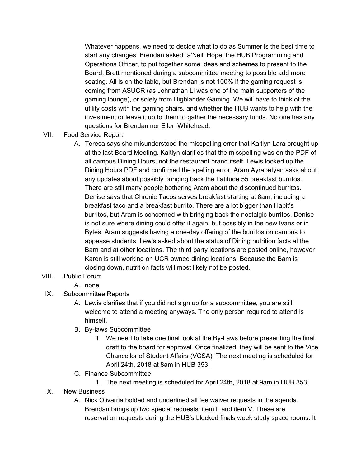Whatever happens, we need to decide what to do as Summer is the best time to start any changes. Brendan askedTa'Neill Hope, the HUB Programming and Operations Officer, to put together some ideas and schemes to present to the Board. Brett mentioned during a subcommittee meeting to possible add more seating. All is on the table, but Brendan is not 100% if the gaming request is coming from ASUCR (as Johnathan Li was one of the main supporters of the gaming lounge), or solely from Highlander Gaming. We will have to think of the utility costs with the gaming chairs, and whether the HUB wants to help with the investment or leave it up to them to gather the necessary funds. No one has any questions for Brendan nor Ellen Whitehead.

- VII. Food Service Report
	- A. Teresa says she misunderstood the misspelling error that Kaitlyn Lara brought up at the last Board Meeting. Kaitlyn clarifies that the misspelling was on the PDF of all campus Dining Hours, not the restaurant brand itself. Lewis looked up the Dining Hours PDF and confirmed the spelling error. Aram Ayrapetyan asks about any updates about possibly bringing back the Latitude 55 breakfast burritos. There are still many people bothering Aram about the discontinued burritos. Denise says that Chronic Tacos serves breakfast starting at 8am, including a breakfast taco and a breakfast burrito. There are a lot bigger than Habit's burritos, but Aram is concerned with bringing back the nostalgic burritos. Denise is not sure where dining could offer it again, but possibly in the new Ivans or in Bytes. Aram suggests having a one-day offering of the burritos on campus to appease students. Lewis asked about the status of Dining nutrition facts at the Barn and at other locations. The third party locations are posted online, however Karen is still working on UCR owned dining locations. Because the Barn is closing down, nutrition facts will most likely not be posted.

## VIII. Public Forum

- A. none
- IX. Subcommittee Reports
	- A. Lewis clarifies that if you did not sign up for a subcommittee, you are still welcome to attend a meeting anyways. The only person required to attend is himself.
	- B. By-laws Subcommittee
		- 1. We need to take one final look at the By-Laws before presenting the final draft to the board for approval. Once finalized, they will be sent to the Vice Chancellor of Student Affairs (VCSA). The next meeting is scheduled for April 24th, 2018 at 8am in HUB 353.
	- C. Finance Subcommittee
		- 1. The next meeting is scheduled for April 24th, 2018 at 9am in HUB 353.
- X. New Business
	- A. Nick Olivarria bolded and underlined all fee waiver requests in the agenda. Brendan brings up two special requests: item L and item V. These are reservation requests during the HUB's blocked finals week study space rooms. It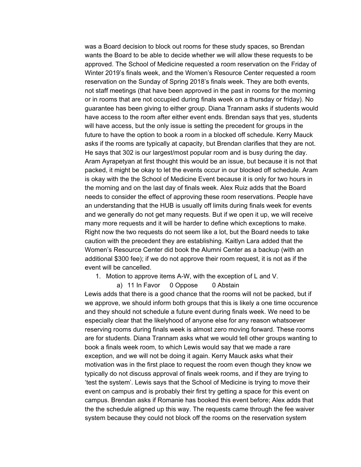was a Board decision to block out rooms for these study spaces, so Brendan wants the Board to be able to decide whether we will allow these requests to be approved. The School of Medicine requested a room reservation on the Friday of Winter 2019's finals week, and the Women's Resource Center requested a room reservation on the Sunday of Spring 2018's finals week. They are both events, not staff meetings (that have been approved in the past in rooms for the morning or in rooms that are not occupied during finals week on a thursday or friday). No guarantee has been giving to either group. Diana Trannam asks if students would have access to the room after either event ends. Brendan says that yes, students will have access, but the only issue is setting the precedent for groups in the future to have the option to book a room in a blocked off schedule. Kerry Mauck asks if the rooms are typically at capacity, but Brendan clarifies that they are not. He says that 302 is our largest/most popular room and is busy during the day. Aram Ayrapetyan at first thought this would be an issue, but because it is not that packed, it might be okay to let the events occur in our blocked off schedule. Aram is okay with the the School of Medicine Event because it is only for two hours in the morning and on the last day of finals week. Alex Ruiz adds that the Board needs to consider the effect of approving these room reservations. People have an understanding that the HUB is usually off limits during finals week for events and we generally do not get many requests. But if we open it up, we will receive many more requests and it will be harder to define which exceptions to make. Right now the two requests do not seem like a lot, but the Board needs to take caution with the precedent they are establishing. Kaitlyn Lara added that the Women's Resource Center did book the Alumni Center as a backup (with an additional \$300 fee); if we do not approve their room request, it is not as if the event will be cancelled.

1. Motion to approve items A-W, with the exception of L and V.

a) 11 In Favor 0 Oppose 0 Abstain Lewis adds that there is a good chance that the rooms will not be packed, but if we approve, we should inform both groups that this is likely a one time occurence and they should not schedule a future event during finals week. We need to be especially clear that the likelyhood of anyone else for any reason whatsoever reserving rooms during finals week is almost zero moving forward. These rooms are for students. Diana Trannam asks what we would tell other groups wanting to book a finals week room, to which Lewis would say that we made a rare exception, and we will not be doing it again. Kerry Mauck asks what their motivation was in the first place to request the room even though they know we typically do not discuss approval of finals week rooms, and if they are trying to 'test the system'. Lewis says that the School of Medicine is trying to move their event on campus and is probably their first try getting a space for this event on campus. Brendan asks if Romanie has booked this event before; Alex adds that the the schedule aligned up this way. The requests came through the fee waiver system because they could not block off the rooms on the reservation system